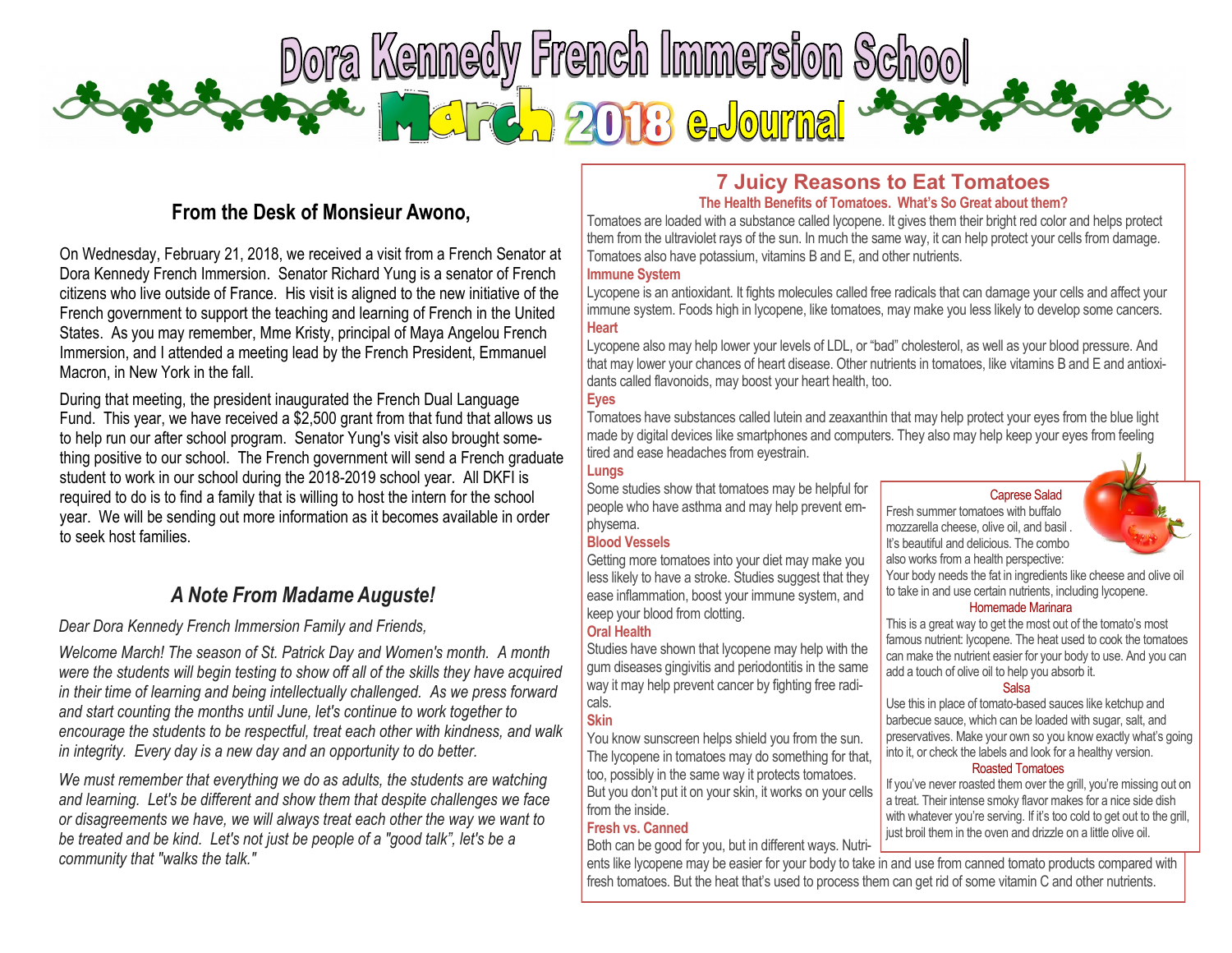

# **From the Desk of Monsieur Awono,**

On Wednesday, February 21, 2018, we received a visit from a French Senator at Dora Kennedy French Immersion. Senator Richard Yung is a senator of French citizens who live outside of France. His visit is aligned to the new initiative of the French government to support the teaching and learning of French in the United States. As you may remember, Mme Kristy, principal of Maya Angelou French Immersion, and I attended a meeting lead by the French President, Emmanuel Macron, in New York in the fall.

During that meeting, the president inaugurated the French Dual Language Fund. This year, we have received a \$2,500 grant from that fund that allows us to help run our after school program. Senator Yung's visit also brought something positive to our school. The French government will send a French graduate student to work in our school during the 2018-2019 school year. All DKFI is required to do is to find a family that is willing to host the intern for the school year. We will be sending out more information as it becomes available in order to seek host families.

# *A Note From Madame Auguste!*

# *Dear Dora Kennedy French Immersion Family and Friends,*

*Welcome March! The season of St. Patrick Day and Women's month. A month were the students will begin testing to show off all of the skills they have acquired in their time of learning and being intellectually challenged. As we press forward and start counting the months until June, let's continue to work together to encourage the students to be respectful, treat each other with kindness, and walk in integrity. Every day is a new day and an opportunity to do better.*

*We must remember that everything we do as adults, the students are watching and learning. Let's be different and show them that despite challenges we face or disagreements we have, we will always treat each other the way we want to be treated and be kind. Let's not just be people of a "good talk", let's be a community that "walks the talk."* 

# **[7 Juicy Reasons to Eat Tomatoes](http://click.messages.webmd.com/?qs=dfb972cc8fb7bd4a426489a240c37dbeb8ca02d90fe44f6c471c51daf9dbebdbd6b948f14e78dad55c7318f87bfdea368e1fe02876dfe45e0caa6dc2d0ec20f7) The Health Benefits of Tomatoes. What's So Great about them?**

Tomatoes are loaded with a substance called lycopene. It gives them their bright red color and helps protect them from the ultraviolet rays of the sun. In much the same way, it can help protect your cells from damage. Tomatoes also have potassium, vitamins B and E, and other nutrients.

### **Immune System**

Lycopene is an antioxidant. It fights molecules called free radicals that can damage your cells and affect your immune system. Foods high in lycopene, like tomatoes, may make you less likely to develop some cancers. **Heart**

Lycopene also may help lower your levels of LDL, or "bad" cholesterol, as well as your blood pressure. And that may lower your chances of heart disease. Other nutrients in tomatoes, like vitamins B and E and antioxidants called flavonoids, may boost your heart health, too.

### **Eyes**

Tomatoes have substances called lutein and zeaxanthin that may help protect your eyes from the blue light made by digital devices like smartphones and computers. They also may help keep your eyes from feeling tired and ease headaches from eyestrain.

### **Lungs**

Some studies show that tomatoes may be helpful for people who have asthma and may help prevent emphysema.

### **Blood Vessels**

Getting more tomatoes into your diet may make you less likely to have a stroke. Studies suggest that they ease inflammation, boost your immune system, and keep your blood from clotting.

## **Oral Health**

Studies have shown that lycopene may help with the gum diseases gingivitis and periodontitis in the same way it may help prevent cancer by fighting free radicals.

# **Skin**

You know sunscreen helps shield you from the sun. The lycopene in tomatoes may do something for that, too, possibly in the same way it protects tomatoes. But you don't put it on your skin, it works on your cells from the inside.

## **Fresh vs. Canned**

Both can be good for you, but in different ways. Nutri-



also works from a health perspective: Your body needs the fat in ingredients like cheese and olive oil to take in and use certain nutrients, including lycopene.

#### Homemade Marinara

Caprese Salad

Fresh summer tomatoes with buffalo mozzarella cheese, olive oil, and basil . It's beautiful and delicious. The combo

This is a great way to get the most out of the tomato's most famous nutrient: lycopene. The heat used to cook the tomatoes can make the nutrient easier for your body to use. And you can add a touch of olive oil to help you absorb it.

### Salsa

Use this in place of tomato-based sauces like ketchup and barbecue sauce, which can be loaded with sugar, salt, and preservatives. Make your own so you know exactly what's going into it, or check the labels and look for a healthy version.

### Roasted Tomatoes

If you've never roasted them over the grill, you're missing out on a treat. Their intense smoky flavor makes for a nice side dish with whatever you're serving. If it's too cold to get out to the grill, just broil them in the oven and drizzle on a little olive oil.

ents like lycopene may be easier for your body to take in and use from canned tomato products compared with fresh tomatoes. But the heat that's used to process them can get rid of some vitamin C and other nutrients.